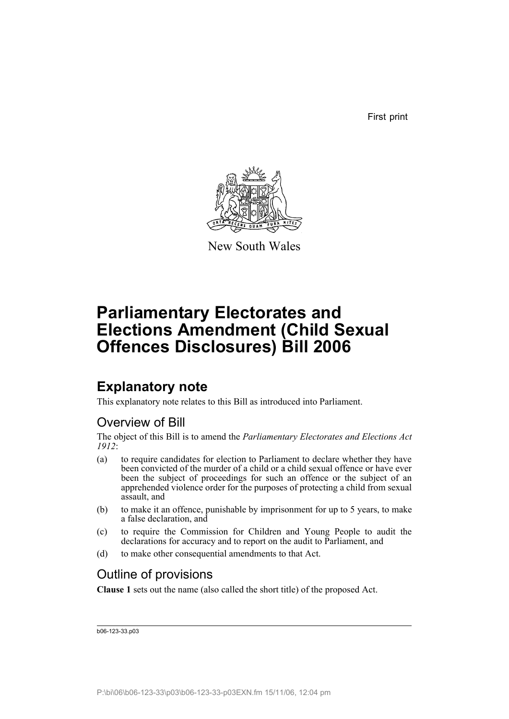First print



New South Wales

# **Parliamentary Electorates and Elections Amendment (Child Sexual Offences Disclosures) Bill 2006**

# **Explanatory note**

This explanatory note relates to this Bill as introduced into Parliament.

## Overview of Bill

The object of this Bill is to amend the *Parliamentary Electorates and Elections Act 1912*:

- (a) to require candidates for election to Parliament to declare whether they have been convicted of the murder of a child or a child sexual offence or have ever been the subject of proceedings for such an offence or the subject of an apprehended violence order for the purposes of protecting a child from sexual assault, and
- (b) to make it an offence, punishable by imprisonment for up to 5 years, to make a false declaration, and
- (c) to require the Commission for Children and Young People to audit the declarations for accuracy and to report on the audit to Parliament, and
- (d) to make other consequential amendments to that Act.

## Outline of provisions

**Clause 1** sets out the name (also called the short title) of the proposed Act.

b06-123-33.p03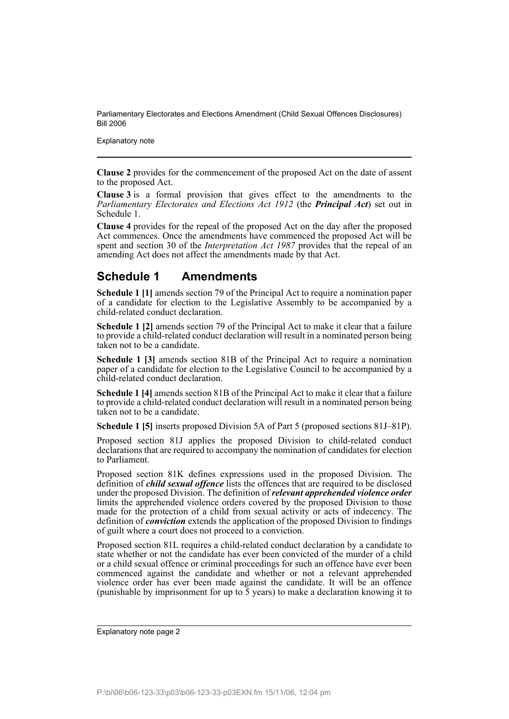Explanatory note

**Clause 2** provides for the commencement of the proposed Act on the date of assent to the proposed Act.

**Clause 3** is a formal provision that gives effect to the amendments to the *Parliamentary Electorates and Elections Act 1912* (the *Principal Act*) set out in Schedule 1.

**Clause 4** provides for the repeal of the proposed Act on the day after the proposed Act commences. Once the amendments have commenced the proposed Act will be spent and section 30 of the *Interpretation Act 1987* provides that the repeal of an amending Act does not affect the amendments made by that Act.

## **Schedule 1 Amendments**

**Schedule 1 [1]** amends section 79 of the Principal Act to require a nomination paper of a candidate for election to the Legislative Assembly to be accompanied by a child-related conduct declaration.

**Schedule 1 [2]** amends section 79 of the Principal Act to make it clear that a failure to provide a child-related conduct declaration will result in a nominated person being taken not to be a candidate.

**Schedule 1 [3]** amends section 81B of the Principal Act to require a nomination paper of a candidate for election to the Legislative Council to be accompanied by a child-related conduct declaration.

**Schedule 1 [4]** amends section 81B of the Principal Act to make it clear that a failure to provide a child-related conduct declaration will result in a nominated person being taken not to be a candidate.

**Schedule 1 [5]** inserts proposed Division 5A of Part 5 (proposed sections 81J–81P).

Proposed section 81J applies the proposed Division to child-related conduct declarations that are required to accompany the nomination of candidates for election to Parliament.

Proposed section 81K defines expressions used in the proposed Division. The definition of *child sexual offence* lists the offences that are required to be disclosed under the proposed Division. The definition of *relevant apprehended violence order* limits the apprehended violence orders covered by the proposed Division to those made for the protection of a child from sexual activity or acts of indecency. The definition of *conviction* extends the application of the proposed Division to findings of guilt where a court does not proceed to a conviction.

Proposed section 81L requires a child-related conduct declaration by a candidate to state whether or not the candidate has ever been convicted of the murder of a child or a child sexual offence or criminal proceedings for such an offence have ever been commenced against the candidate and whether or not a relevant apprehended violence order has ever been made against the candidate. It will be an offence (punishable by imprisonment for up to  $\overline{5}$  years) to make a declaration knowing it to

Explanatory note page 2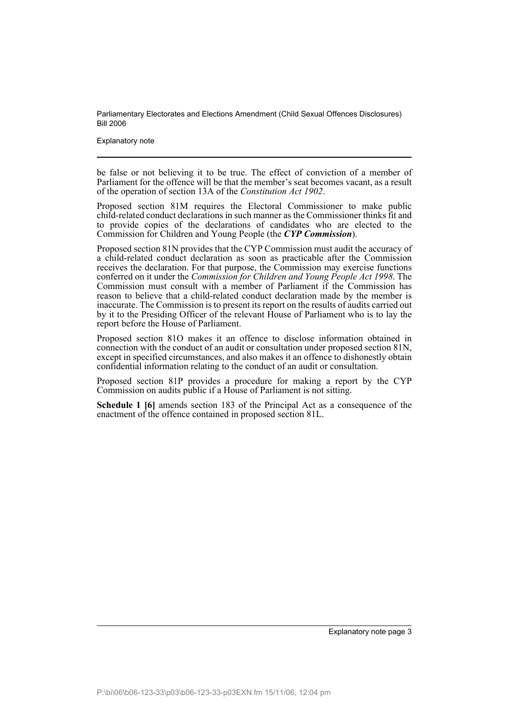Explanatory note

be false or not believing it to be true. The effect of conviction of a member of Parliament for the offence will be that the member's seat becomes vacant, as a result of the operation of section 13A of the *Constitution Act 1902*.

Proposed section 81M requires the Electoral Commissioner to make public child-related conduct declarations in such manner as the Commissioner thinks fit and to provide copies of the declarations of candidates who are elected to the Commission for Children and Young People (the *CYP Commission*).

Proposed section 81N provides that the CYP Commission must audit the accuracy of a child-related conduct declaration as soon as practicable after the Commission receives the declaration. For that purpose, the Commission may exercise functions conferred on it under the *Commission for Children and Young People Act 1998*. The Commission must consult with a member of Parliament if the Commission has reason to believe that a child-related conduct declaration made by the member is inaccurate. The Commission is to present its report on the results of audits carried out by it to the Presiding Officer of the relevant House of Parliament who is to lay the report before the House of Parliament.

Proposed section 81O makes it an offence to disclose information obtained in connection with the conduct of an audit or consultation under proposed section 81N, except in specified circumstances, and also makes it an offence to dishonestly obtain confidential information relating to the conduct of an audit or consultation.

Proposed section 81P provides a procedure for making a report by the CYP Commission on audits public if a House of Parliament is not sitting.

**Schedule 1 [6]** amends section 183 of the Principal Act as a consequence of the enactment of the offence contained in proposed section 81L.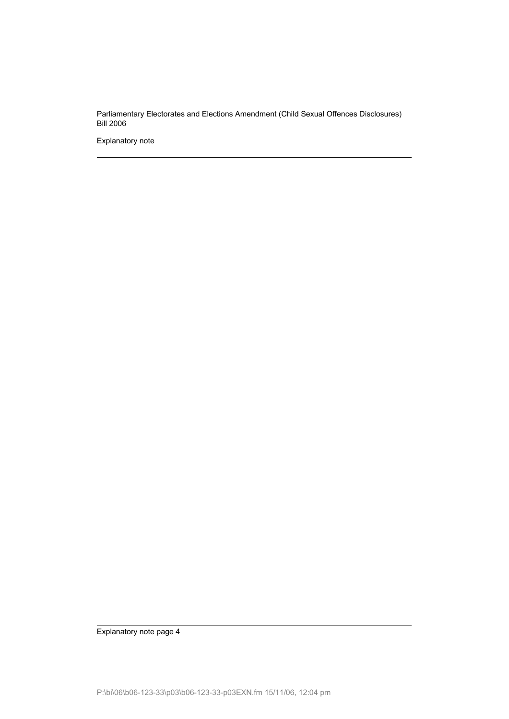Explanatory note

Explanatory note page 4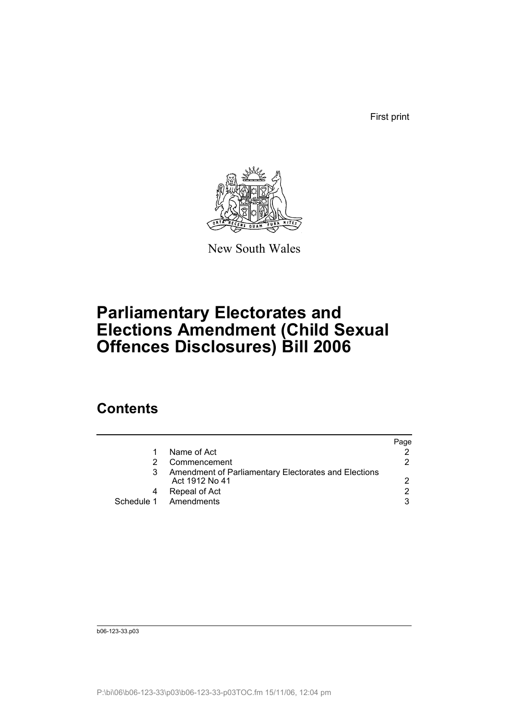First print



New South Wales

# **Parliamentary Electorates and Elections Amendment (Child Sexual Offences Disclosures) Bill 2006**

## **Contents**

|                                                                        | Page |
|------------------------------------------------------------------------|------|
| Name of Act                                                            |      |
| Commencement                                                           | 2.   |
| Amendment of Parliamentary Electorates and Elections<br>Act 1912 No 41 | 2    |
| Repeal of Act                                                          | 2    |
| Schedule 1 Amendments                                                  | 3    |

b06-123-33.p03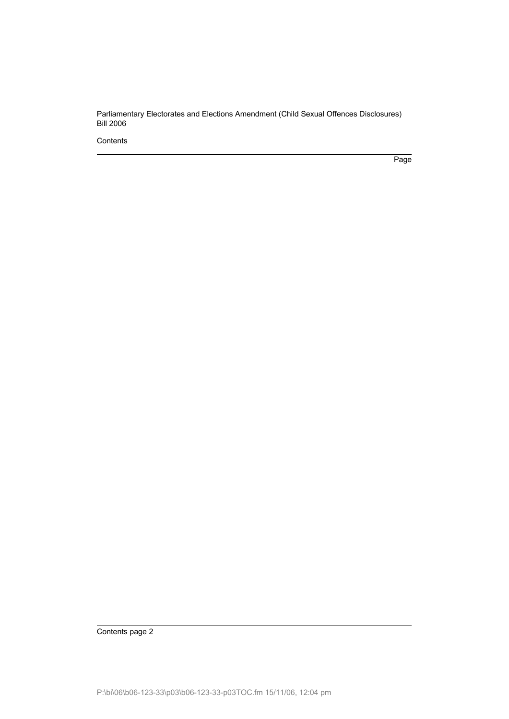**Contents** 

Page

Contents page 2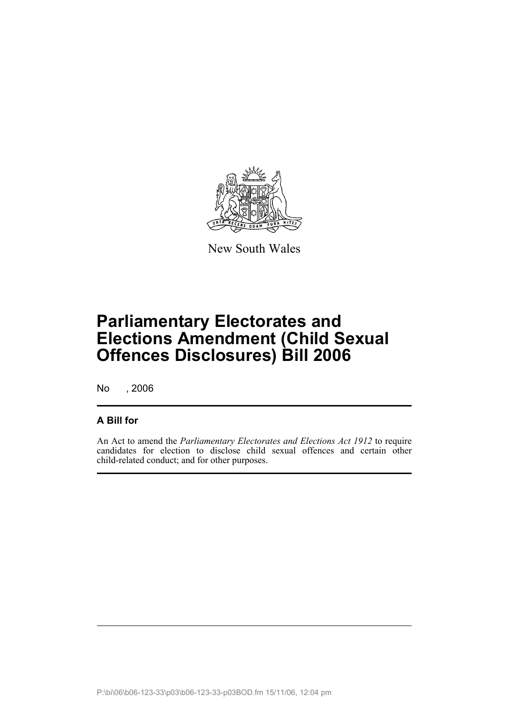

New South Wales

# **Parliamentary Electorates and Elections Amendment (Child Sexual Offences Disclosures) Bill 2006**

No , 2006

## **A Bill for**

An Act to amend the *Parliamentary Electorates and Elections Act 1912* to require candidates for election to disclose child sexual offences and certain other child-related conduct; and for other purposes.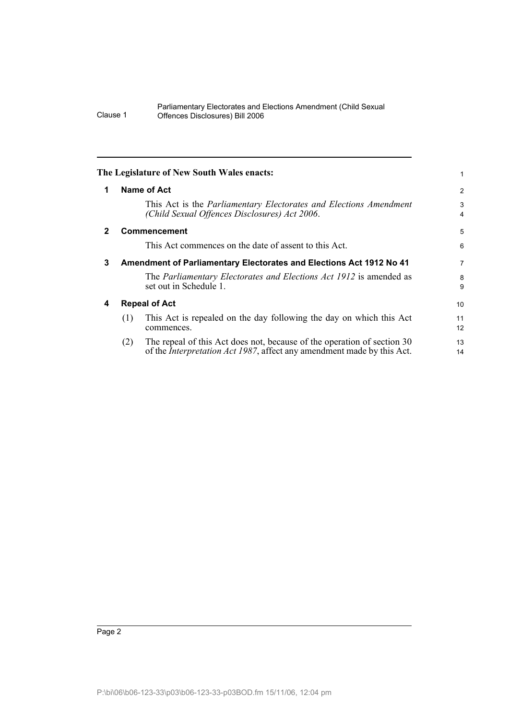<span id="page-7-3"></span><span id="page-7-2"></span><span id="page-7-1"></span><span id="page-7-0"></span>

|                      |                                                                                                                                                           | 1                                                                                                                                                       |
|----------------------|-----------------------------------------------------------------------------------------------------------------------------------------------------------|---------------------------------------------------------------------------------------------------------------------------------------------------------|
|                      |                                                                                                                                                           | $\overline{c}$                                                                                                                                          |
|                      | This Act is the <i>Parliamentary Electorates and Elections Amendment</i><br>(Child Sexual Offences Disclosures) Act 2006.                                 | 3<br>4                                                                                                                                                  |
|                      |                                                                                                                                                           | 5                                                                                                                                                       |
|                      | This Act commences on the date of assent to this Act.                                                                                                     | 6                                                                                                                                                       |
|                      |                                                                                                                                                           | 7                                                                                                                                                       |
|                      | The Parliamentary Electorates and Elections Act 1912 is amended as<br>set out in Schedule 1.                                                              | 8<br>9                                                                                                                                                  |
| <b>Repeal of Act</b> |                                                                                                                                                           | 10                                                                                                                                                      |
| (1)                  | This Act is repealed on the day following the day on which this Act<br>commences.                                                                         | 11<br>12                                                                                                                                                |
| (2)                  | The repeal of this Act does not, because of the operation of section 30<br>of the <i>Interpretation Act 1987</i> , affect any amendment made by this Act. | 13<br>14                                                                                                                                                |
|                      |                                                                                                                                                           | The Legislature of New South Wales enacts:<br>Name of Act<br><b>Commencement</b><br>Amendment of Parliamentary Electorates and Elections Act 1912 No 41 |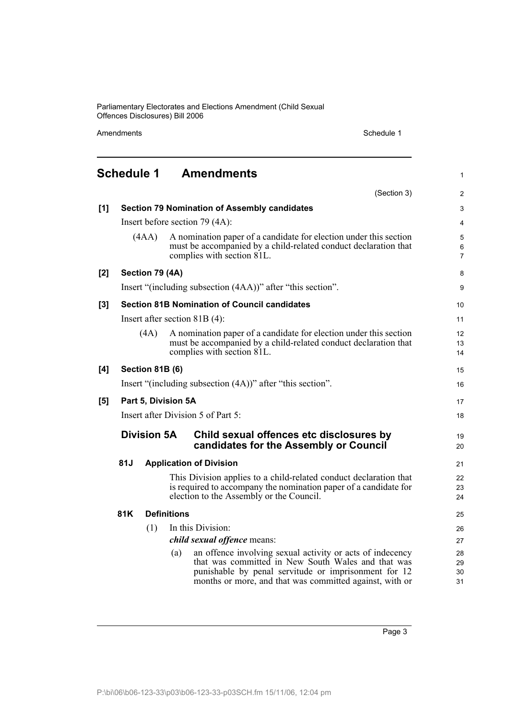Amendments Schedule 1

<span id="page-8-0"></span>

|     | <b>Schedule 1</b>                                           |                                                     |                    | <b>Amendments</b>                                                                                                                                                                                                                  | 1                        |  |
|-----|-------------------------------------------------------------|-----------------------------------------------------|--------------------|------------------------------------------------------------------------------------------------------------------------------------------------------------------------------------------------------------------------------------|--------------------------|--|
|     |                                                             |                                                     |                    | (Section 3)                                                                                                                                                                                                                        | $\overline{2}$           |  |
| [1] |                                                             | <b>Section 79 Nomination of Assembly candidates</b> |                    |                                                                                                                                                                                                                                    |                          |  |
|     | Insert before section 79 (4A):                              |                                                     |                    |                                                                                                                                                                                                                                    |                          |  |
|     |                                                             | (AAA)                                               |                    | A nomination paper of a candidate for election under this section<br>must be accompanied by a child-related conduct declaration that<br>complies with section 81L.                                                                 | 5<br>6<br>$\overline{7}$ |  |
| [2] |                                                             | Section 79 (4A)                                     |                    |                                                                                                                                                                                                                                    |                          |  |
|     | Insert "(including subsection (4AA))" after "this section". |                                                     |                    |                                                                                                                                                                                                                                    |                          |  |
| [3] | <b>Section 81B Nomination of Council candidates</b>         |                                                     |                    |                                                                                                                                                                                                                                    | 10                       |  |
|     |                                                             |                                                     |                    | Insert after section $81B(4)$ :                                                                                                                                                                                                    | 11                       |  |
|     |                                                             | (4A)                                                |                    | A nomination paper of a candidate for election under this section<br>must be accompanied by a child-related conduct declaration that<br>complies with section 81L.                                                                 | 12<br>13<br>14           |  |
| [4] |                                                             | Section 81B (6)                                     |                    |                                                                                                                                                                                                                                    | 15                       |  |
|     |                                                             |                                                     |                    | Insert "(including subsection (4A))" after "this section".                                                                                                                                                                         | 16                       |  |
| [5] |                                                             | Part 5, Division 5A                                 |                    |                                                                                                                                                                                                                                    | 17                       |  |
|     | Insert after Division 5 of Part 5:                          |                                                     |                    |                                                                                                                                                                                                                                    | 18                       |  |
|     | <b>Division 5A</b>                                          |                                                     |                    | Child sexual offences etc disclosures by<br>candidates for the Assembly or Council                                                                                                                                                 | 19<br>20                 |  |
|     | 81J                                                         |                                                     |                    | <b>Application of Division</b>                                                                                                                                                                                                     | 21                       |  |
|     |                                                             |                                                     |                    | This Division applies to a child-related conduct declaration that<br>is required to accompany the nomination paper of a candidate for<br>election to the Assembly or the Council.                                                  | 22<br>23<br>24           |  |
|     | 81K                                                         |                                                     | <b>Definitions</b> |                                                                                                                                                                                                                                    | 25                       |  |
|     |                                                             | (1)                                                 |                    | In this Division:                                                                                                                                                                                                                  | 26                       |  |
|     |                                                             |                                                     |                    | <i>child sexual offence means:</i>                                                                                                                                                                                                 | 27                       |  |
|     |                                                             |                                                     | (a)                | an offence involving sexual activity or acts of indecency<br>that was committed in New South Wales and that was<br>punishable by penal servitude or imprisonment for 12<br>months or more, and that was committed against, with or | 28<br>29<br>30<br>31     |  |

Page 3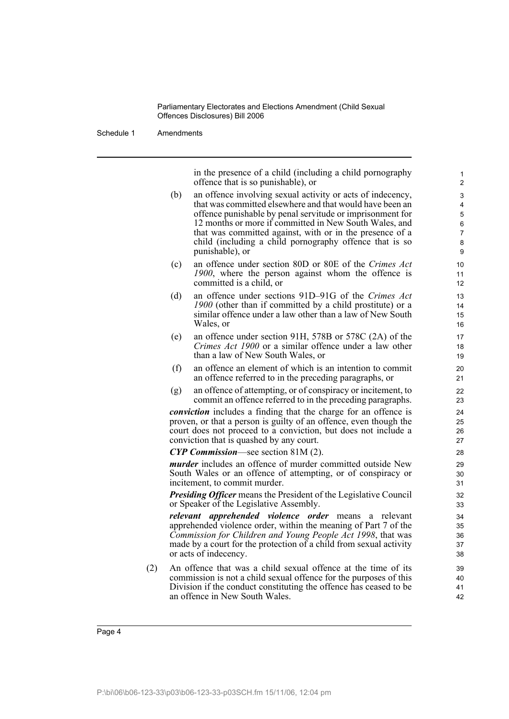Schedule 1 Amendments

in the presence of a child (including a child pornography offence that is so punishable), or

- (b) an offence involving sexual activity or acts of indecency, that was committed elsewhere and that would have been an offence punishable by penal servitude or imprisonment for 12 months or more if committed in New South Wales, and that was committed against, with or in the presence of a child (including a child pornography offence that is so punishable), or
- (c) an offence under section 80D or 80E of the *Crimes Act 1900*, where the person against whom the offence is committed is a child, or
- (d) an offence under sections 91D–91G of the *Crimes Act 1900* (other than if committed by a child prostitute) or a similar offence under a law other than a law of New South Wales, or
- (e) an offence under section 91H, 578B or 578C (2A) of the *Crimes Act 1900* or a similar offence under a law other than a law of New South Wales, or
- (f) an offence an element of which is an intention to commit an offence referred to in the preceding paragraphs, or
- (g) an offence of attempting, or of conspiracy or incitement, to commit an offence referred to in the preceding paragraphs.

*conviction* includes a finding that the charge for an offence is proven, or that a person is guilty of an offence, even though the court does not proceed to a conviction, but does not include a conviction that is quashed by any court.

*CYP Commission*—see section 81M (2).

*murder* includes an offence of murder committed outside New South Wales or an offence of attempting, or of conspiracy or incitement, to commit murder.

*Presiding Officer* means the President of the Legislative Council or Speaker of the Legislative Assembly.

*relevant apprehended violence order* means a relevant apprehended violence order, within the meaning of Part 7 of the *Commission for Children and Young People Act 1998*, that was made by a court for the protection of a child from sexual activity or acts of indecency.

(2) An offence that was a child sexual offence at the time of its commission is not a child sexual offence for the purposes of this Division if the conduct constituting the offence has ceased to be an offence in New South Wales.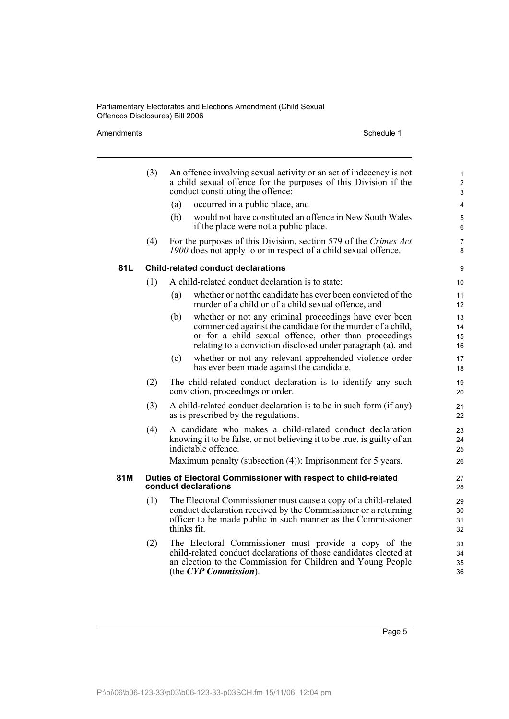## Amendments Schedule 1

|     | (3)                                                                                    | An offence involving sexual activity or an act of indecency is not<br>a child sexual offence for the purposes of this Division if the<br>conduct constituting the offence:                                                                          |                      |  |  |  |
|-----|----------------------------------------------------------------------------------------|-----------------------------------------------------------------------------------------------------------------------------------------------------------------------------------------------------------------------------------------------------|----------------------|--|--|--|
|     |                                                                                        | occurred in a public place, and<br>(a)                                                                                                                                                                                                              | 4                    |  |  |  |
|     |                                                                                        | would not have constituted an offence in New South Wales<br>(b)<br>if the place were not a public place.                                                                                                                                            | 5<br>6               |  |  |  |
|     | (4)                                                                                    | For the purposes of this Division, section 579 of the Crimes Act<br>1900 does not apply to or in respect of a child sexual offence.                                                                                                                 | $\overline{7}$<br>8  |  |  |  |
| 81L | <b>Child-related conduct declarations</b>                                              |                                                                                                                                                                                                                                                     |                      |  |  |  |
|     | (1)                                                                                    | A child-related conduct declaration is to state:                                                                                                                                                                                                    |                      |  |  |  |
|     |                                                                                        | whether or not the candidate has ever been convicted of the<br>(a)<br>murder of a child or of a child sexual offence, and                                                                                                                           | 11<br>12             |  |  |  |
|     |                                                                                        | whether or not any criminal proceedings have ever been<br>(b)<br>commenced against the candidate for the murder of a child,<br>or for a child sexual offence, other than proceedings<br>relating to a conviction disclosed under paragraph (a), and | 13<br>14<br>15<br>16 |  |  |  |
|     |                                                                                        | whether or not any relevant apprehended violence order<br>(c)<br>has ever been made against the candidate.                                                                                                                                          | 17<br>18             |  |  |  |
|     | (2)                                                                                    | The child-related conduct declaration is to identify any such<br>conviction, proceedings or order.                                                                                                                                                  | 19<br>20             |  |  |  |
|     | (3)                                                                                    | A child-related conduct declaration is to be in such form (if any)<br>as is prescribed by the regulations.                                                                                                                                          |                      |  |  |  |
|     | (4)                                                                                    | A candidate who makes a child-related conduct declaration<br>knowing it to be false, or not believing it to be true, is guilty of an<br>indictable offence.                                                                                         | 23<br>24<br>25       |  |  |  |
|     |                                                                                        | Maximum penalty (subsection $(4)$ ): Imprisonment for 5 years.                                                                                                                                                                                      | 26                   |  |  |  |
| 81M | Duties of Electoral Commissioner with respect to child-related<br>conduct declarations |                                                                                                                                                                                                                                                     |                      |  |  |  |
|     | (1)                                                                                    | The Electoral Commissioner must cause a copy of a child-related<br>conduct declaration received by the Commissioner or a returning<br>officer to be made public in such manner as the Commissioner<br>thinks fit.                                   | 29<br>30<br>31<br>32 |  |  |  |
|     | (2)                                                                                    | The Electoral Commissioner must provide a copy of the<br>child-related conduct declarations of those candidates elected at<br>an election to the Commission for Children and Young People<br>(the CYP Commission).                                  | 33<br>34<br>35<br>36 |  |  |  |

Page 5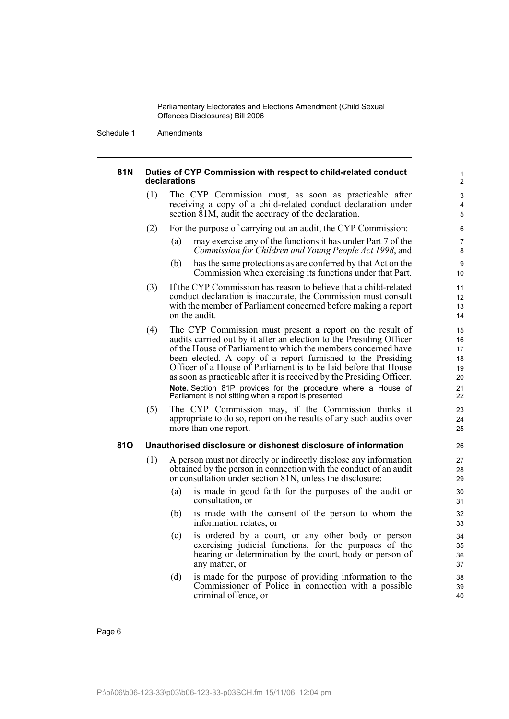Schedule 1 Amendments

### **81N Duties of CYP Commission with respect to child-related conduct declarations**

- (1) The CYP Commission must, as soon as practicable after receiving a copy of a child-related conduct declaration under section  $\overline{81M}$ , audit the accuracy of the declaration.
- (2) For the purpose of carrying out an audit, the CYP Commission:
	- (a) may exercise any of the functions it has under Part 7 of the *Commission for Children and Young People Act 1998*, and
	- (b) has the same protections as are conferred by that Act on the Commission when exercising its functions under that Part.

- (3) If the CYP Commission has reason to believe that a child-related conduct declaration is inaccurate, the Commission must consult with the member of Parliament concerned before making a report on the audit.
- (4) The CYP Commission must present a report on the result of audits carried out by it after an election to the Presiding Officer of the House of Parliament to which the members concerned have been elected. A copy of a report furnished to the Presiding Officer of a House of Parliament is to be laid before that House as soon as practicable after it is received by the Presiding Officer. **Note.** Section 81P provides for the procedure where a House of Parliament is not sitting when a report is presented.
- (5) The CYP Commission may, if the Commission thinks it appropriate to do so, report on the results of any such audits over more than one report.

### **81O Unauthorised disclosure or dishonest disclosure of information**

- (1) A person must not directly or indirectly disclose any information obtained by the person in connection with the conduct of an audit or consultation under section 81N, unless the disclosure:
	- (a) is made in good faith for the purposes of the audit or consultation, or
	- (b) is made with the consent of the person to whom the information relates, or
	- (c) is ordered by a court, or any other body or person exercising judicial functions, for the purposes of the hearing or determination by the court, body or person of any matter, or
	- (d) is made for the purpose of providing information to the Commissioner of Police in connection with a possible criminal offence, or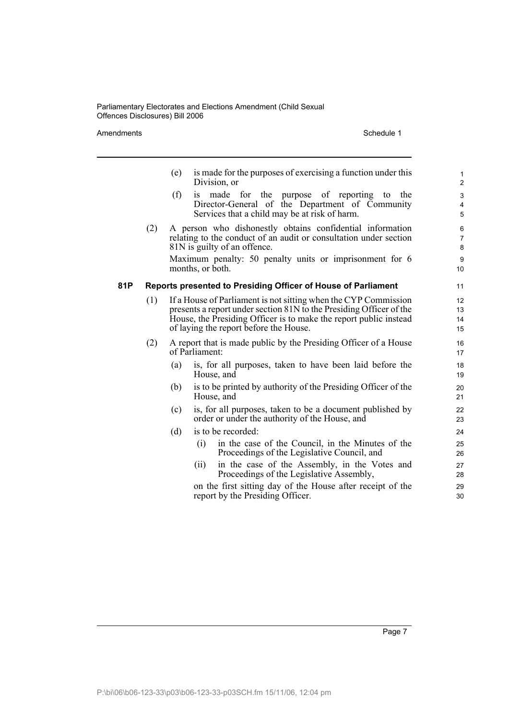Amendments **Schedule 1** Schedule 1

- (e) is made for the purposes of exercising a function under this Division, or (f) is made for the purpose of reporting to the Director-General of the Department of Community Services that a child may be at risk of harm. (2) A person who dishonestly obtains confidential information
- relating to the conduct of an audit or consultation under section 81N is guilty of an offence. Maximum penalty: 50 penalty units or imprisonment for 6 months, or both.

### **81P Reports presented to Presiding Officer of House of Parliament**

- (1) If a House of Parliament is not sitting when the CYP Commission presents a report under section 81N to the Presiding Officer of the House, the Presiding Officer is to make the report public instead of laying the report before the House.
- (2) A report that is made public by the Presiding Officer of a House of Parliament:
	- (a) is, for all purposes, taken to have been laid before the House, and
	- (b) is to be printed by authority of the Presiding Officer of the House, and
	- (c) is, for all purposes, taken to be a document published by order or under the authority of the House, and
	- (d) is to be recorded:
		- (i) in the case of the Council, in the Minutes of the Proceedings of the Legislative Council, and
		- (ii) in the case of the Assembly, in the Votes and Proceedings of the Legislative Assembly,

on the first sitting day of the House after receipt of the report by the Presiding Officer.